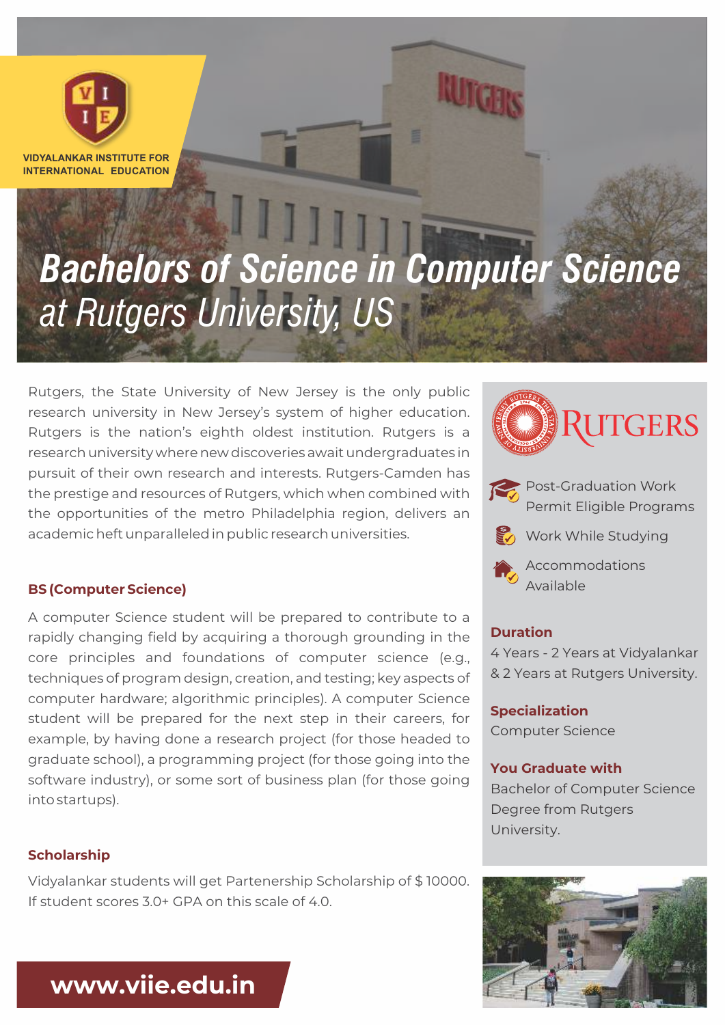

**VIDYALANKAR INSTITUTE FOR INTERNATIONAL EDUCATION**

# *Bachelors of Science in Computer Science at Rutgers University, US*

Rutgers, the State University of New Jersey is the only public research university in New Jersey's system of higher education. Rutgers is the nation's eighth oldest institution. Rutgers is a research university where new discoveries await undergraduates in pursuit of their own research and interests. Rutgers-Camden has the prestige and resources of Rutgers, which when combined with the opportunities of the metro Philadelphia region, delivers an academic heft unparalleled in public research universities.

#### **BS (Computer Science)**

A computer Science student will be prepared to contribute to a rapidly changing field by acquiring a thorough grounding in the core principles and foundations of computer science (e.g., techniques of program design, creation, and testing; key aspects of computer hardware; algorithmic principles). A computer Science student will be prepared for the next step in their careers, for example, by having done a research project (for those headed to graduate school), a programming project (for those going into the software industry), or some sort of business plan (for those going into startups).

#### **Scholarship**

Vidyalankar students will get Partenership Scholarship of \$ 10000. If student scores 3.0+ GPA on this scale of 4.0.







Accommodations Available

## **Duration**

4 Years - 2 Years at Vidyalankar & 2 Years at Rutgers University.

**Specialization** Computer Science

#### **You Graduate with**

Bachelor of Computer Science Degree from Rutgers University.



**www.viie.edu.in**